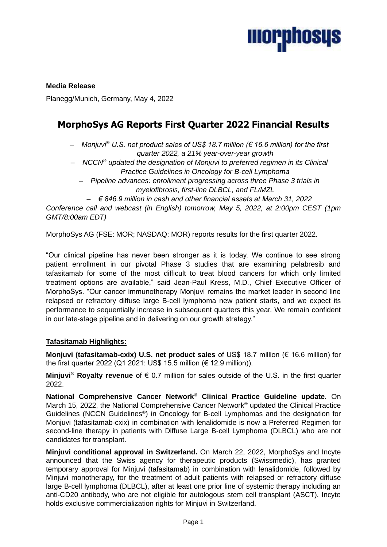

**Media Release** Planegg/Munich, Germany, May 4, 2022

# **MorphoSys AG Reports First Quarter 2022 Financial Results**

- *– Monjuvi® U.S. net product sales of US\$ 18.7 million (€ 16.6 million) for the first quarter 2022, a 21% year-over-year growth*
- *– NCCN® updated the designation of Monjuvi to preferred regimen in its Clinical Practice Guidelines in Oncology for B-cell Lymphoma*
	- *– Pipeline advances: enrollment progressing across three Phase 3 trials in myelofibrosis, first-line DLBCL, and FL/MZL*
		- *– € 846.9 million in cash and other financial assets at March 31, 2022*

*Conference call and webcast (in English) tomorrow, May 5, 2022, at 2:00pm CEST (1pm GMT/8:00am EDT)*

MorphoSys AG (FSE: MOR; NASDAQ: MOR) reports results for the first quarter 2022.

"Our clinical pipeline has never been stronger as it is today. We continue to see strong patient enrollment in our pivotal Phase 3 studies that are examining pelabresib and tafasitamab for some of the most difficult to treat blood cancers for which only limited treatment options are available," said Jean-Paul Kress, M.D., Chief Executive Officer of MorphoSys. "Our cancer immunotherapy Monjuvi remains the market leader in second line relapsed or refractory diffuse large B-cell lymphoma new patient starts, and we expect its performance to sequentially increase in subsequent quarters this year. We remain confident in our late-stage pipeline and in delivering on our growth strategy."

# **Tafasitamab Highlights:**

**Monjuvi (tafasitamab-cxix) U.S. net product sales** of US\$ 18.7 million (€ 16.6 million) for the first quarter 2022 (Q1 2021: US\$ 15.5 million (€ 12.9 million)).

**Minjuvi® Royalty revenue** of € 0.7 million for sales outside of the U.S. in the first quarter 2022.

**National Comprehensive Cancer Network® Clinical Practice Guideline update.** On March 15, 2022, the National Comprehensive Cancer Network® updated the Clinical Practice Guidelines (NCCN Guidelines®) in Oncology for B-cell Lymphomas and the designation for Monjuvi (tafasitamab-cxix) in combination with lenalidomide is now a Preferred Regimen for second-line therapy in patients with Diffuse Large B-cell Lymphoma (DLBCL) who are not candidates for transplant.

**Minjuvi conditional approval in Switzerland.** On March 22, 2022, MorphoSys and Incyte announced that the Swiss agency for therapeutic products (Swissmedic), has granted temporary approval for Minjuvi (tafasitamab) in combination with lenalidomide, followed by Minjuvi monotherapy, for the treatment of adult patients with relapsed or refractory diffuse large B-cell lymphoma (DLBCL), after at least one prior line of systemic therapy including an anti-CD20 antibody, who are not eligible for autologous stem cell transplant (ASCT). Incyte holds exclusive commercialization rights for Minjuvi in Switzerland.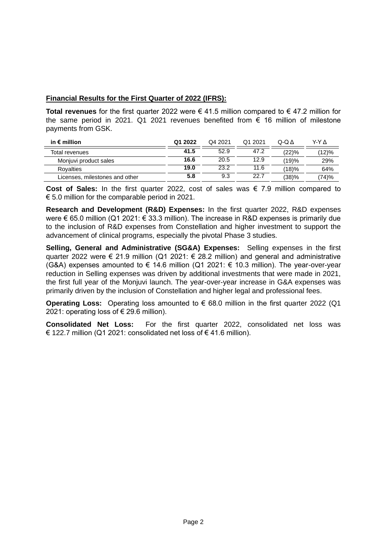# **Financial Results for the First Quarter of 2022 (IFRS):**

**Total revenues** for the first quarter 2022 were € 41.5 million compared to € 47.2 million for the same period in 2021. Q1 2021 revenues benefited from  $\epsilon$  16 million of milestone payments from GSK.

| in $\epsilon$ million          | Q1 2022 | Q4 2021 | Q1 2021 | $Q-Q \Delta$ | Y-Y A    |
|--------------------------------|---------|---------|---------|--------------|----------|
| Total revenues                 | 41.5    | 52.9    | 47.2    | (22)%        | $(12)\%$ |
| Monjuvi product sales          | 16.6    | 20.5    | 12.9    | (19)%        | 29%      |
| Rovalties                      | 19.0    | 23.2    | 11.6    | (18)%        | 64%      |
| Licenses, milestones and other | 5.8     | 9.3     | 22.7    | (38)%        | (74)%    |

**Cost of Sales:** In the first quarter 2022, cost of sales was € 7.9 million compared to € 5.0 million for the comparable period in 2021.

**Research and Development (R&D) Expenses:** In the first quarter 2022, R&D expenses were € 65.0 million (Q1 2021: € 33.3 million). The increase in R&D expenses is primarily due to the inclusion of R&D expenses from Constellation and higher investment to support the advancement of clinical programs, especially the pivotal Phase 3 studies.

**Selling, General and Administrative (SG&A) Expenses:** Selling expenses in the first quarter 2022 were  $\epsilon$  21.9 million (Q1 2021:  $\epsilon$  28.2 million) and general and administrative (G&A) expenses amounted to € 14.6 million (Q1 2021: € 10.3 million). The year-over-year reduction in Selling expenses was driven by additional investments that were made in 2021, the first full year of the Monjuvi launch. The year-over-year increase in G&A expenses was primarily driven by the inclusion of Constellation and higher legal and professional fees.

**Operating Loss:** Operating loss amounted to  $\epsilon$  68.0 million in the first quarter 2022 (Q1) 2021: operating loss of  $\epsilon$  29.6 million).

**Consolidated Net Loss:** For the first quarter 2022, consolidated net loss was € 122.7 million (Q1 2021: consolidated net loss of  $€$  41.6 million).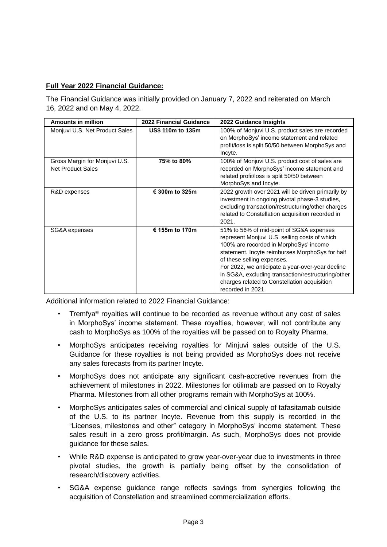# **Full Year 2022 Financial Guidance:**

The Financial Guidance was initially provided on January 7, 2022 and reiterated on March 16, 2022 and on May 4, 2022.

| <b>Amounts in million</b>                                 | <b>2022 Financial Guidance</b> | 2022 Guidance Insights                                                                                                                                                                                                                                                                                                                                                                              |
|-----------------------------------------------------------|--------------------------------|-----------------------------------------------------------------------------------------------------------------------------------------------------------------------------------------------------------------------------------------------------------------------------------------------------------------------------------------------------------------------------------------------------|
| Monjuvi U.S. Net Product Sales                            | <b>US\$ 110m to 135m</b>       | 100% of Monjuvi U.S. product sales are recorded<br>on MorphoSys' income statement and related<br>profit/loss is split 50/50 between MorphoSys and<br>Incyte.                                                                                                                                                                                                                                        |
| Gross Margin for Monjuvi U.S.<br><b>Net Product Sales</b> | 75% to 80%                     | 100% of Monjuvi U.S. product cost of sales are<br>recorded on MorphoSys' income statement and<br>related profit/loss is split 50/50 between<br>MorphoSys and Incyte.                                                                                                                                                                                                                                |
| R&D expenses                                              | € 300m to 325m                 | 2022 growth over 2021 will be driven primarily by<br>investment in ongoing pivotal phase-3 studies,<br>excluding transaction/restructuring/other charges<br>related to Constellation acquisition recorded in<br>2021.                                                                                                                                                                               |
| SG&A expenses                                             | € 155m to 170m                 | 51% to 56% of mid-point of SG&A expenses<br>represent Monjuvi U.S. selling costs of which<br>100% are recorded in MorphoSys' income<br>statement. Incyte reimburses MorphoSys for half<br>of these selling expenses.<br>For 2022, we anticipate a year-over-year decline<br>in SG&A, excluding transaction/restructuring/other<br>charges related to Constellation acquisition<br>recorded in 2021. |

Additional information related to 2022 Financial Guidance:

- Tremfya<sup>®</sup> royalties will continue to be recorded as revenue without any cost of sales in MorphoSys' income statement. These royalties, however, will not contribute any cash to MorphoSys as 100% of the royalties will be passed on to Royalty Pharma.
- MorphoSys anticipates receiving royalties for Minjuvi sales outside of the U.S. Guidance for these royalties is not being provided as MorphoSys does not receive any sales forecasts from its partner Incyte.
- MorphoSys does not anticipate any significant cash-accretive revenues from the achievement of milestones in 2022. Milestones for otilimab are passed on to Royalty Pharma. Milestones from all other programs remain with MorphoSys at 100%.
- MorphoSys anticipates sales of commercial and clinical supply of tafasitamab outside of the U.S. to its partner Incyte. Revenue from this supply is recorded in the "Licenses, milestones and other" category in MorphoSys' income statement. These sales result in a zero gross profit/margin. As such, MorphoSys does not provide guidance for these sales.
- While R&D expense is anticipated to grow year-over-year due to investments in three pivotal studies, the growth is partially being offset by the consolidation of research/discovery activities.
- SG&A expense guidance range reflects savings from synergies following the acquisition of Constellation and streamlined commercialization efforts.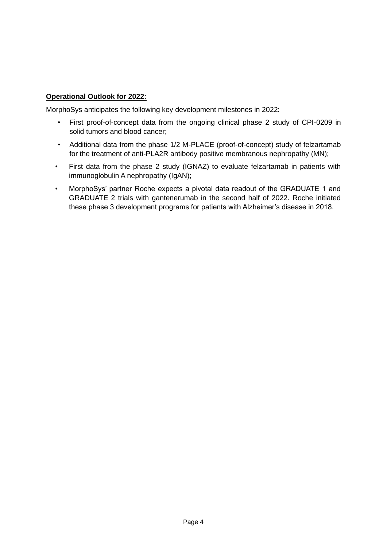# **Operational Outlook for 2022:**

MorphoSys anticipates the following key development milestones in 2022:

- First proof-of-concept data from the ongoing clinical phase 2 study of CPI-0209 in solid tumors and blood cancer;
- Additional data from the phase 1/2 M-PLACE (proof-of-concept) study of felzartamab for the treatment of anti-PLA2R antibody positive membranous nephropathy (MN);
- First data from the phase 2 study (IGNAZ) to evaluate felzartamab in patients with immunoglobulin A nephropathy (IgAN);
- MorphoSys' partner Roche expects a pivotal data readout of the GRADUATE 1 and GRADUATE 2 trials with gantenerumab in the second half of 2022. Roche initiated these phase 3 development programs for patients with Alzheimer's disease in 2018.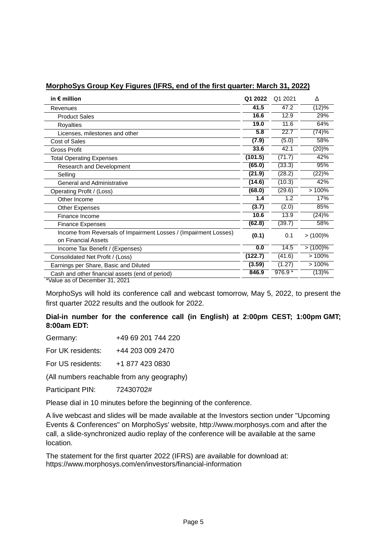| in $\epsilon$ million                                                                   | Q1 2022 | Q1 2021            | Δ          |
|-----------------------------------------------------------------------------------------|---------|--------------------|------------|
| Revenues                                                                                | 41.5    | 47.2               | $(12)\%$   |
| <b>Product Sales</b>                                                                    | 16.6    | 12.9               | 29%        |
| Royalties                                                                               | 19.0    | 11.6               | 64%        |
| Licenses, milestones and other                                                          | 5.8     | 22.7               | (74)%      |
| <b>Cost of Sales</b>                                                                    | (7.9)   | (5.0)              | 58%        |
| <b>Gross Profit</b>                                                                     | 33.6    | 42.1               | (20)%      |
| <b>Total Operating Expenses</b>                                                         | (101.5) | (71.7)             | 42%        |
| <b>Research and Development</b>                                                         | (65.0)  | (33.3)             | 95%        |
| Selling                                                                                 | (21.9)  | (28.2)             | (22)%      |
| General and Administrative                                                              | (14.6)  | (10.3)             | 42%        |
| Operating Profit / (Loss)                                                               | (68.0)  | (29.6)             | >100%      |
| Other Income                                                                            | 1.4     | 1.2                | 17%        |
| Other Expenses                                                                          | (3.7)   | $\overline{(2.0)}$ | 85%        |
| Finance Income                                                                          | 10.6    | 13.9               | (24)%      |
| <b>Finance Expenses</b>                                                                 | (62.8)  | (39.7)             | 58%        |
| Income from Reversals of Impairment Losses / (Impairment Losses)<br>on Financial Assets | (0.1)   | 0.1                | $>(100)\%$ |
| Income Tax Benefit / (Expenses)                                                         | 0.0     | 14.5               | $>(100)\%$ |
| Consolidated Net Profit / (Loss)                                                        | (122.7) | (41.6)             | >100%      |
| Earnings per Share, Basic and Diluted                                                   | (3.59)  | (1.27)             | >100%      |
| Cash and other financial assets (end of period)<br>$\frac{1}{2}$                        | 846.9   | 976.9 *            | (13)%      |

### **MorphoSys Group Key Figures (IFRS, end of the first quarter: March 31, 2022)**

\*Value as of December 31, 2021

MorphoSys will hold its conference call and webcast tomorrow, May 5, 2022, to present the first quarter 2022 results and the outlook for 2022.

### **Dial-in number for the conference call (in English) at 2:00pm CEST; 1:00pm GMT; 8:00am EDT:**

| Germany:          | +49 69 201 744 220 |
|-------------------|--------------------|
| For UK residents: | +44 203 009 2470   |
| For US residents: | +1 877 423 0830    |

(All numbers reachable from any geography)

Participant PIN: 72430702#

Please dial in 10 minutes before the beginning of the conference.

A live webcast and slides will be made available at the Investors section under "Upcoming Events & Conferences" on MorphoSys' website, [http://www.morphosys.com](https://eqs-cockpit.com/cgi-bin/fncls.ssp?fn=redirect&url=af6b62de1fd30b6c8f4ab4736ef0907c&application_id=1299903&user_id=0&application_name=news) and after the call, a slide-synchronized audio replay of the conference will be available at the same location.

The statement for the first quarter 2022 (IFRS) are available for download at: https://www.morphosys.com/en/investors/financial-information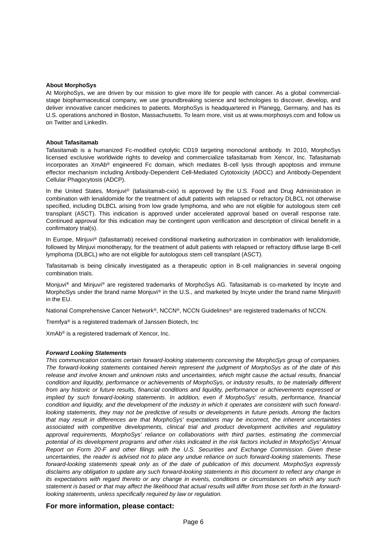#### **About MorphoSys**

At MorphoSys, we are driven by our mission to give more life for people with cancer. As a global commercialstage biopharmaceutical company, we use groundbreaking science and technologies to discover, develop, and deliver innovative cancer medicines to patients. MorphoSys is headquartered in Planegg, Germany, and has its U.S. operations anchored in Boston, Massachusetts. To learn more, visit us at www.morphosys.com and follow us on Twitter and LinkedIn.

#### **About Tafasitamab**

Tafasitamab is a humanized Fc-modified cytolytic CD19 targeting monoclonal antibody. In 2010, MorphoSys licensed exclusive worldwide rights to develop and commercialize tafasitamab from Xencor, Inc. Tafasitamab incorporates an XmAb® engineered Fc domain, which mediates B-cell lysis through apoptosis and immune effector mechanism including Antibody-Dependent Cell-Mediated Cytotoxicity (ADCC) and Antibody-Dependent Cellular Phagocytosis (ADCP).

In the United States, Monjuvi® (tafasitamab-cxix) is approved by the U.S. Food and Drug Administration in combination with lenalidomide for the treatment of adult patients with relapsed or refractory DLBCL not otherwise specified, including DLBCL arising from low grade lymphoma, and who are not eligible for autologous stem cell transplant (ASCT). This indication is approved under accelerated approval based on overall response rate. Continued approval for this indication may be contingent upon verification and description of clinical benefit in a confirmatory trial(s).

In Europe, Minjuvi® (tafasitamab) received conditional marketing authorization in combination with lenalidomide, followed by Minjuvi monotherapy, for the treatment of adult patients with relapsed or refractory diffuse large B-cell lymphoma (DLBCL) who are not eligible for autologous stem cell transplant (ASCT).

Tafasitamab is being clinically investigated as a therapeutic option in B-cell malignancies in several ongoing combination trials.

Moniuvi® and Miniuvi® are registered trademarks of MorphoSvs AG. Tafasitamab is co-marketed by Incyte and MorphoSys under the brand name Monjuvi® in the U.S., and marketed by Incyte under the brand name Minjuvi® in the EU.

National Comprehensive Cancer Network®, NCCN®, NCCN Guidelines® are registered trademarks of NCCN.

Tremfya® is a registered trademark of Janssen Biotech, Inc

XmAb® is a registered trademark of Xencor, Inc.

#### *Forward Looking Statements*

*This communication contains certain forward-looking statements concerning the MorphoSys group of companies. The forward-looking statements contained herein represent the judgment of MorphoSys as of the date of this release and involve known and unknown risks and uncertainties, which might cause the actual results, financial condition and liquidity, performance or achievements of MorphoSys, or industry results, to be materially different from any historic or future results, financial conditions and liquidity, performance or achievements expressed or implied by such forward-looking statements. In addition, even if MorphoSys' results, performance, financial condition and liquidity, and the development of the industry in which it operates are consistent with such forwardlooking statements, they may not be predictive of results or developments in future periods. Among the factors that may result in differences are that MorphoSys' expectations may be incorrect, the inherent uncertainties associated with competitive developments, clinical trial and product development activities and regulatory approval requirements, MorphoSys' reliance on collaborations with third parties, estimating the commercial potential of its development programs and other risks indicated in the risk factors included in MorphoSys' Annual Report on Form 20-F and other filings with the U.S. Securities and Exchange Commission. Given these uncertainties, the reader is advised not to place any undue reliance on such forward-looking statements. These forward-looking statements speak only as of the date of publication of this document. MorphoSys expressly disclaims any obligation to update any such forward-looking statements in this document to reflect any change in its expectations with regard thereto or any change in events, conditions or circumstances on which any such statement is based or that may affect the likelihood that actual results will differ from those set forth in the forwardlooking statements, unless specifically required by law or regulation.*

#### **For more information, please contact:**